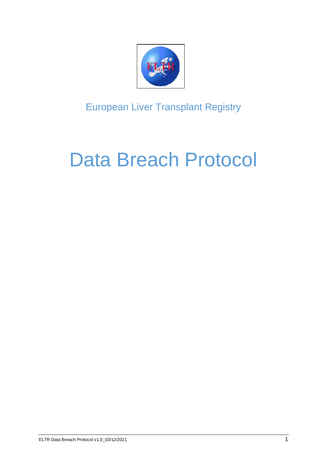

European Liver Transplant Registry

# Data Breach Protocol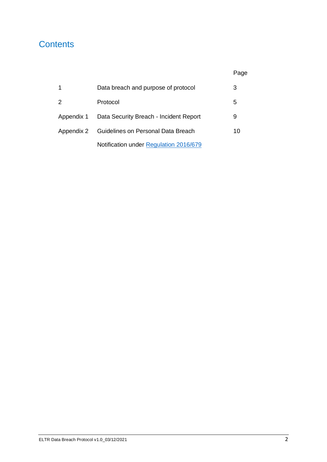# **Contents**

|               | Data breach and purpose of protocol    | 3  |
|---------------|----------------------------------------|----|
| $\mathcal{P}$ | Protocol                               | 5  |
| Appendix 1    | Data Security Breach - Incident Report | 9  |
| Appendix 2    | Guidelines on Personal Data Breach     | 10 |
|               | Notification under Regulation 2016/679 |    |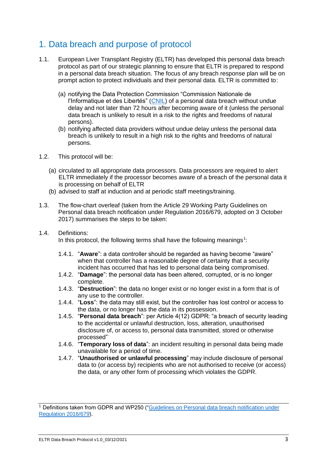## 1. Data breach and purpose of protocol

- 1.1. European Liver Transplant Registry (ELTR) has developed this personal data breach protocol as part of our strategic planning to ensure that ELTR is prepared to respond in a personal data breach situation. The focus of any breach response plan will be on prompt action to protect individuals and their personal data. ELTR is committed to:
	- (a) notifying the Data Protection Commission "Commission Nationale de l'Informatique et des Libertés" [\(CNIL\)](https://www.cnil.fr/en/home) of a personal data breach without undue delay and not later than 72 hours after becoming aware of it (unless the personal data breach is unlikely to result in a risk to the rights and freedoms of natural persons).
	- (b) notifying affected data providers without undue delay unless the personal data breach is unlikely to result in a high risk to the rights and freedoms of natural persons.
- 1.2. This protocol will be:
	- (a) circulated to all appropriate data processors. Data processors are required to alert ELTR immediately if the processor becomes aware of a breach of the personal data it is processing on behalf of ELTR
	- (b) advised to staff at induction and at periodic staff meetings/training.
- 1.3. The flow-chart overleaf (taken from the Article 29 Working Party Guidelines on Personal data breach notification under Regulation 2016/679, adopted on 3 October 2017) summarises the steps to be taken:
- 1.4. Definitions:

In this protocol, the following terms shall have the following meanings<sup>1</sup>:

- 1.4.1. "**Aware**": a data controller should be regarded as having become "aware" when that controller has a reasonable degree of certainty that a security incident has occurred that has led to personal data being compromised.
- 1.4.2. "**Damage**": the personal data has been altered, corrupted, or is no longer complete.
- 1.4.3. "**Destruction**": the data no longer exist or no longer exist in a form that is of any use to the controller.
- 1.4.4. "**Loss**": the data may still exist, but the controller has lost control or access to the data, or no longer has the data in its possession.
- 1.4.5. "**Personal data breach**": per Article 4(12) GDPR: "a breach of security leading to the accidental or unlawful destruction, loss, alteration, unauthorised disclosure of, or access to, personal data transmitted, stored or otherwise processed"
- 1.4.6. "**Temporary loss of data**": an incident resulting in personal data being made unavailable for a period of time.
- 1.4.7. "**Unauthorised or unlawful processing**" may include disclosure of personal data to (or access by) recipients who are not authorised to receive (or access) the data, or any other form of processing which violates the GDPR.

<sup>&</sup>lt;sup>1</sup> Definitions taken from GDPR and WP250 ("Guidelines on Personal data breach notification under [Regulation 2016/679\)](file:///C:/Users/vince/Downloads/20180713_wp250rev_01_en_C521EC14-99FD-FB6A-F550FB846F60A5C1_49827%20(1).pdf).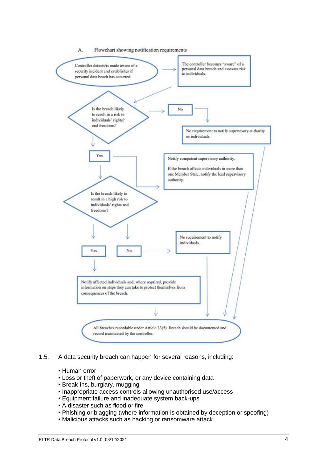

- 1.5. A data security breach can happen for several reasons, including:
	- Human error
	- Loss or theft of paperwork, or any device containing data
	- Break-ins, burglary, mugging
	- Inappropriate access controls allowing unauthorised use/access
	- Equipment failure and inadequate system back-ups
	- A disaster such as flood or fire
	- Phishing or blagging (where information is obtained by deception or spoofing)
	- Malicious attacks such as hacking or ransomware attack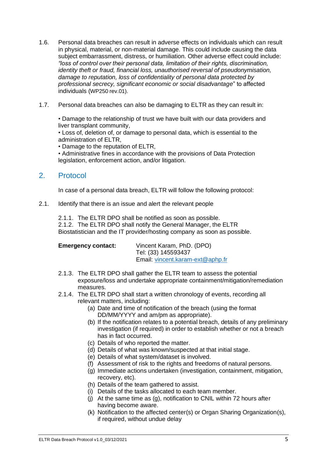- 1.6. Personal data breaches can result in adverse effects on individuals which can result in physical, material, or non-material damage. This could include causing the data subject embarrassment, distress, or humiliation. Other adverse effect could include: *"loss of control over their personal data, limitation of their rights, discrimination, identity theft or fraud, financial loss, unauthorised reversal of pseudonymisation, damage to reputation, loss of confidentiality of personal data protected by professional secrecy, significant economic or social disadvantage*" to affected individuals (WP250 rev.01).
- 1.7. Personal data breaches can also be damaging to ELTR as they can result in:

• Damage to the relationship of trust we have built with our data providers and liver transplant community,

• Loss of, deletion of, or damage to personal data, which is essential to the administration of ELTR,

• Damage to the reputation of ELTR,

• Administrative fines in accordance with the provisions of Data Protection legislation, enforcement action, and/or litigation.

#### 2. Protocol

In case of a personal data breach, ELTR will follow the following protocol:

2.1. Identify that there is an issue and alert the relevant people

2.1.1. The ELTR DPO shall be notified as soon as possible.

2.1.2. The ELTR DPO shall notify the General Manager, the ELTR Biostatistician and the IT provider/hosting company as soon as possible.

| <b>Emergency contact:</b> | Vincent Karam, PhD. (DPO)<br>Tel: (33) 145593437 |  |  |
|---------------------------|--------------------------------------------------|--|--|
|                           | Email: vincent.karam-ext@aphp.fr                 |  |  |

- 2.1.3. The ELTR DPO shall gather the ELTR team to assess the potential exposure/loss and undertake appropriate containment/mitigation/remediation measures.
- 2.1.4. The ELTR DPO shall start a written chronology of events, recording all relevant matters, including:
	- (a) Date and time of notification of the breach (using the format DD/MM/YYYY and am/pm as appropriate).
	- (b) If the notification relates to a potential breach, details of any preliminary investigation (if required) in order to establish whether or not a breach has in fact occurred.
	- (c) Details of who reported the matter.
	- (d) Details of what was known/suspected at that initial stage.
	- (e) Details of what system/dataset is involved.
	- (f) Assessment of risk to the rights and freedoms of natural persons.
	- (g) Immediate actions undertaken (investigation, containment, mitigation, recovery, etc).
	- (h) Details of the team gathered to assist.
	- (i) Details of the tasks allocated to each team member.
	- (j) At the same time as (g), notification to CNIL within 72 hours after having become aware.
	- (k) Notification to the affected center(s) or Organ Sharing Organization(s), if required, without undue delay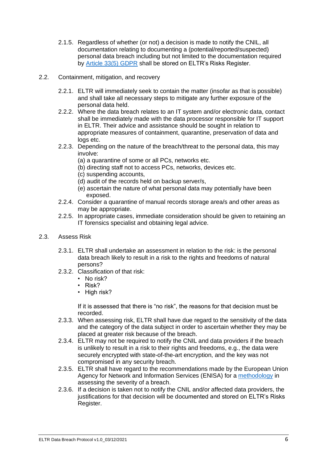- 2.1.5. Regardless of whether (or not) a decision is made to notify the CNIL, all documentation relating to documenting a (potential/reported/suspected) personal data breach including but not limited to the documentation required by [Article 33\(5\) GDPR](https://www.privacy-regulation.eu/en/33.htm) shall be stored on ELTR's Risks Register.
- 2.2. Containment, mitigation, and recovery
	- 2.2.1. ELTR will immediately seek to contain the matter (insofar as that is possible) and shall take all necessary steps to mitigate any further exposure of the personal data held.
	- 2.2.2. Where the data breach relates to an IT system and/or electronic data, contact shall be immediately made with the data processor responsible for IT support in ELTR. Their advice and assistance should be sought in relation to appropriate measures of containment, quarantine, preservation of data and logs etc.
	- 2.2.3. Depending on the nature of the breach/threat to the personal data, this may involve:
		- (a) a quarantine of some or all PCs, networks etc.
		- (b) directing staff not to access PCs, networks, devices etc.
		- (c) suspending accounts,
		- (d) audit of the records held on backup server/s,
		- (e) ascertain the nature of what personal data may potentially have been exposed.
	- 2.2.4. Consider a quarantine of manual records storage area/s and other areas as may be appropriate.
	- 2.2.5. In appropriate cases, immediate consideration should be given to retaining an IT forensics specialist and obtaining legal advice.
- 2.3. Assess Risk
	- 2.3.1. ELTR shall undertake an assessment in relation to the risk: is the personal data breach likely to result in a risk to the rights and freedoms of natural persons?
	- 2.3.2. Classification of that risk:
		- No risk?
		- Risk?
		- High risk?

If it is assessed that there is "no risk", the reasons for that decision must be recorded.

- 2.3.3. When assessing risk, ELTR shall have due regard to the sensitivity of the data and the category of the data subject in order to ascertain whether they may be placed at greater risk because of the breach.
- 2.3.4. ELTR may not be required to notify the CNIL and data providers if the breach is unlikely to result in a risk to their rights and freedoms, e.g., the data were securely encrypted with state-of-the-art encryption, and the key was not compromised in any security breach.
- 2.3.5. ELTR shall have regard to the recommendations made by the European Union Agency for Network and Information Services (ENISA) for a [methodology](https://www.enisa.europa.eu/publications/dbn-severity) in assessing the severity of a breach.
- 2.3.6. If a decision is taken not to notify the CNIL and/or affected data providers, the justifications for that decision will be documented and stored on ELTR's Risks Register.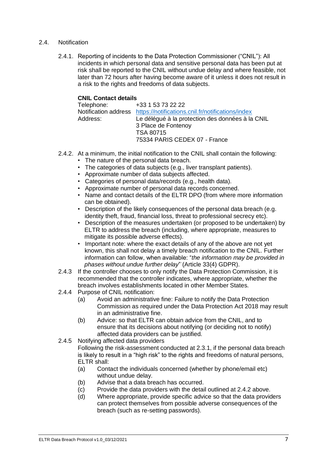#### 2.4. Notification

2.4.1. Reporting of incidents to the Data Protection Commissioner ("CNIL"): All incidents in which personal data and sensitive personal data has been put at risk shall be reported to the CNIL without undue delay and where feasible, not later than 72 hours after having become aware of it unless it does not result in a risk to the rights and freedoms of data subjects.

#### **CNIL Contact details**

| Le délégué à la protection des données à la CNIL |
|--------------------------------------------------|
|                                                  |
|                                                  |
|                                                  |
|                                                  |

- 2.4.2. At a minimum, the initial notification to the CNIL shall contain the following:
	- The nature of the personal data breach.
	- The categories of data subjects (e.g., liver transplant patients).
	- Approximate number of data subjects affected.
	- Categories of personal data/records (e.g., health data).
	- Approximate number of personal data records concerned.
	- Name and contact details of the ELTR DPO (from where more information can be obtained).
	- Description of the likely consequences of the personal data breach (e.g. identity theft, fraud, financial loss, threat to professional secrecy etc).
	- Description of the measures undertaken (or proposed to be undertaken) by ELTR to address the breach (including, where appropriate, measures to mitigate its possible adverse effects).
	- Important note: where the exact details of any of the above are not vet known, this shall not delay a timely breach notification to the CNIL. Further information can follow, when available: "*the information may be provided in phases without undue further delay*"͘ (Article 33(4) GDPR).
- 2.4.3 If the controller chooses to only notify the Data Protection Commission, it is recommended that the controller indicates, where appropriate, whether the breach involves establishments located in other Member States.
- 2.4.4 Purpose of CNIL notification:
	- (a) Avoid an administrative fine: Failure to notify the Data Protection Commission as required under the Data Protection Act 2018 may result in an administrative fine.
	- (b) Advice: so that ELTR can obtain advice from the CNIL, and to ensure that its decisions about notifying (or deciding not to notify) affected data providers can be justified.
- 2.4.5 Notifying affected data providers

Following the risk-assessment conducted at 2.3.1, if the personal data breach is likely to result in a "high risk" to the rights and freedoms of natural persons, ELTR shall:

- (a) Contact the individuals concerned (whether by phone/email etc) without undue delay.
- (b) Advise that a data breach has occurred.
- (c) Provide the data providers with the detail outlined at 2.4.2 above.
- (d) Where appropriate, provide specific advice so that the data providers can protect themselves from possible adverse consequences of the breach (such as re-setting passwords).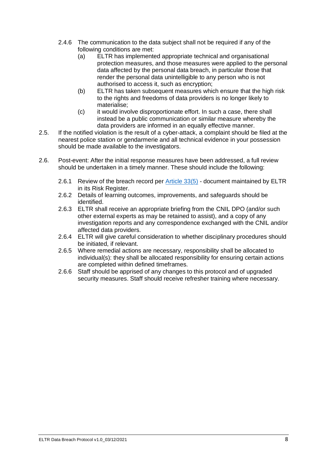- 2.4.6 The communication to the data subject shall not be required if any of the following conditions are met:
	- (a) ELTR has implemented appropriate technical and organisational protection measures, and those measures were applied to the personal data affected by the personal data breach, in particular those that render the personal data unintelligible to any person who is not authorised to access it, such as encryption;
	- (b) ELTR has taken subsequent measures which ensure that the high risk to the rights and freedoms of data providers is no longer likely to materialise;
	- (c) it would involve disproportionate effort. In such a case, there shall instead be a public communication or similar measure whereby the data providers are informed in an equally effective manner.
- 2.5. If the notified violation is the result of a cyber-attack, a complaint should be filed at the nearest police station or gendarmerie and all technical evidence in your possession should be made available to the investigators.
- 2.6. Post-event: After the initial response measures have been addressed, a full review should be undertaken in a timely manner. These should include the following:
	- 2.6.1 Review of the breach record per [Article 33\(5\)](https://www.privacy-regulation.eu/en/33.htm) document maintained by ELTR in its Risk Register.
	- 2.6.2 Details of learning outcomes, improvements, and safeguards should be identified.
	- 2.6.3 ELTR shall receive an appropriate briefing from the CNIL DPO (and/or such other external experts as may be retained to assist), and a copy of any investigation reports and any correspondence exchanged with the CNIL and/or affected data providers.
	- 2.6.4 ELTR will give careful consideration to whether disciplinary procedures should be initiated, if relevant.
	- 2.6.5 Where remedial actions are necessary, responsibility shall be allocated to individual(s): they shall be allocated responsibility for ensuring certain actions are completed within defined timeframes.
	- 2.6.6 Staff should be apprised of any changes to this protocol and of upgraded security measures. Staff should receive refresher training where necessary.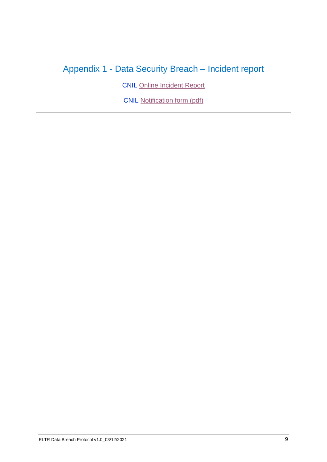# Appendix 1 - Data Security Breach – Incident report

CNIL [Online Incident Report](https://notifications.cnil.fr/notifications/index)

CNIL [Notification form \(pdf\)](https://rgpdfrance.com/wp-content/uploads/2018/02/cnil_formulaire_notification_de_violations.pdf)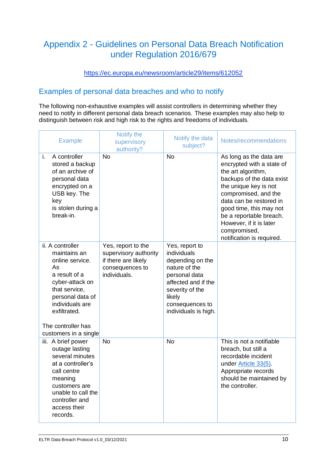# Appendix 2 - Guidelines on Personal Data Breach Notification under Regulation 2016/679

#### <https://ec.europa.eu/newsroom/article29/items/612052>

### Examples of personal data breaches and who to notify

The following non-exhaustive examples will assist controllers in determining whether they need to notify in different personal data breach scenarios. These examples may also help to distinguish between risk and high risk to the rights and freedoms of individuals.

| <b>Example</b>                                                                                                                                                                                                       | Notify the<br>supervisory<br>authority?                                                               | Notify the data<br>subject?                                                                                                                                                        | Notes/recommendations                                                                                                                                                                                                                                                                                             |
|----------------------------------------------------------------------------------------------------------------------------------------------------------------------------------------------------------------------|-------------------------------------------------------------------------------------------------------|------------------------------------------------------------------------------------------------------------------------------------------------------------------------------------|-------------------------------------------------------------------------------------------------------------------------------------------------------------------------------------------------------------------------------------------------------------------------------------------------------------------|
| i.<br>A controller<br>stored a backup<br>of an archive of<br>personal data<br>encrypted on a<br>USB key. The<br>key<br>is stolen during a<br>break-in.                                                               | <b>No</b>                                                                                             | <b>No</b>                                                                                                                                                                          | As long as the data are<br>encrypted with a state of<br>the art algorithm,<br>backups of the data exist<br>the unique key is not<br>compromised, and the<br>data can be restored in<br>good time, this may not<br>be a reportable breach.<br>However, if it is later<br>compromised,<br>notification is required. |
| ii. A controller<br>maintains an<br>online service.<br>As<br>a result of a<br>cyber-attack on<br>that service,<br>personal data of<br>individuals are<br>exfiltrated.<br>The controller has<br>customers in a single | Yes, report to the<br>supervisory authority<br>if there are likely<br>consequences to<br>individuals. | Yes, report to<br>individuals<br>depending on the<br>nature of the<br>personal data<br>affected and if the<br>severity of the<br>likely<br>consequences to<br>individuals is high. |                                                                                                                                                                                                                                                                                                                   |
| iii. A brief power<br>outage lasting<br>several minutes<br>at a controller's<br>call centre<br>meaning<br>customers are<br>unable to call the<br>controller and<br>access their<br>records.                          | <b>No</b>                                                                                             | <b>No</b>                                                                                                                                                                          | This is not a notifiable<br>breach, but still a<br>recordable incident<br>under Article 33(5).<br>Appropriate records<br>should be maintained by<br>the controller.                                                                                                                                               |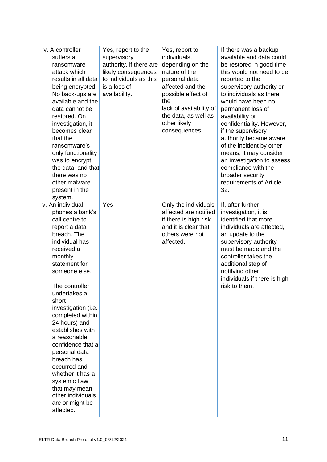| iv. A controller<br>suffers a<br>ransomware<br>attack which<br>results in all data<br>being encrypted.<br>No back-ups are<br>available and the<br>data cannot be<br>restored. On<br>investigation, it<br>becomes clear<br>that the<br>ransomware's<br>only functionality<br>was to encrypt<br>the data, and that<br>there was no                                                                                                                                                             | Yes, report to the<br>supervisory<br>authority, if there are<br>likely consequences<br>to individuals as this<br>is a loss of<br>availability. | Yes, report to<br>individuals,<br>depending on the<br>nature of the<br>personal data<br>affected and the<br>possible effect of<br>the<br>lack of availability of<br>the data, as well as<br>other likely<br>consequences. | If there was a backup<br>available and data could<br>be restored in good time,<br>this would not need to be<br>reported to the<br>supervisory authority or<br>to individuals as there<br>would have been no<br>permanent loss of<br>availability or<br>confidentiality. However,<br>if the supervisory<br>authority became aware<br>of the incident by other<br>means, it may consider<br>an investigation to assess<br>compliance with the<br>broader security |
|----------------------------------------------------------------------------------------------------------------------------------------------------------------------------------------------------------------------------------------------------------------------------------------------------------------------------------------------------------------------------------------------------------------------------------------------------------------------------------------------|------------------------------------------------------------------------------------------------------------------------------------------------|---------------------------------------------------------------------------------------------------------------------------------------------------------------------------------------------------------------------------|-----------------------------------------------------------------------------------------------------------------------------------------------------------------------------------------------------------------------------------------------------------------------------------------------------------------------------------------------------------------------------------------------------------------------------------------------------------------|
| other malware<br>present in the<br>system.                                                                                                                                                                                                                                                                                                                                                                                                                                                   |                                                                                                                                                |                                                                                                                                                                                                                           | requirements of Article<br>32.                                                                                                                                                                                                                                                                                                                                                                                                                                  |
| v. An individual<br>phones a bank's<br>call centre to<br>report a data<br>breach. The<br>individual has<br>received a<br>monthly<br>statement for<br>someone else.<br>The controller<br>undertakes a<br>short<br>investigation (i.e.<br>completed within<br>24 hours) and<br>establishes with<br>a reasonable<br>confidence that a<br>personal data<br>breach has<br>occurred and<br>whether it has a<br>systemic flaw<br>that may mean<br>other individuals<br>are or might be<br>affected. | Yes                                                                                                                                            | Only the individuals<br>affected are notified<br>if there is high risk<br>and it is clear that<br>others were not<br>affected.                                                                                            | If, after further<br>investigation, it is<br>identified that more<br>individuals are affected,<br>an update to the<br>supervisory authority<br>must be made and the<br>controller takes the<br>additional step of<br>notifying other<br>individuals if there is high<br>risk to them.                                                                                                                                                                           |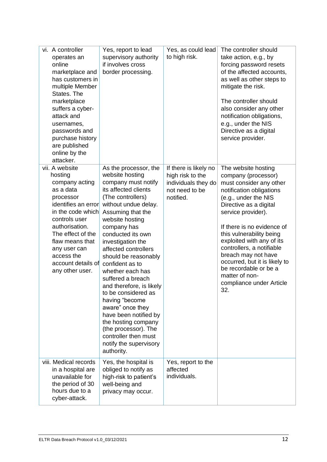| vi. A controller<br>operates an<br>online<br>marketplace and<br>has customers in<br>multiple Member<br>States. The<br>marketplace<br>suffers a cyber-<br>attack and<br>usernames,<br>passwords and<br>purchase history<br>are published<br>online by the<br>attacker. | Yes, report to lead<br>supervisory authority<br>if involves cross<br>border processing.                                                                                                                                                                                                                                                                                                                                                                                                                                                                                            | Yes, as could lead<br>to high risk.                                                             | The controller should<br>take action, e.g., by<br>forcing password resets<br>of the affected accounts,<br>as well as other steps to<br>mitigate the risk.<br>The controller should<br>also consider any other<br>notification obligations,<br>e.g., under the NIS<br>Directive as a digital<br>service provider.                                                                                                                    |
|-----------------------------------------------------------------------------------------------------------------------------------------------------------------------------------------------------------------------------------------------------------------------|------------------------------------------------------------------------------------------------------------------------------------------------------------------------------------------------------------------------------------------------------------------------------------------------------------------------------------------------------------------------------------------------------------------------------------------------------------------------------------------------------------------------------------------------------------------------------------|-------------------------------------------------------------------------------------------------|-------------------------------------------------------------------------------------------------------------------------------------------------------------------------------------------------------------------------------------------------------------------------------------------------------------------------------------------------------------------------------------------------------------------------------------|
| vii. A website<br>hosting<br>company acting<br>as a data<br>processor<br>identifies an error<br>in the code which<br>controls user<br>authorisation.<br>The effect of the<br>flaw means that<br>any user can<br>access the<br>account details of<br>any other user.   | As the processor, the<br>website hosting<br>company must notify<br>its affected clients<br>(The controllers)<br>without undue delay.<br>Assuming that the<br>website hosting<br>company has<br>conducted its own<br>investigation the<br>affected controllers<br>should be reasonably<br>confident as to<br>whether each has<br>suffered a breach<br>and therefore, is likely<br>to be considered as<br>having "become<br>aware" once they<br>have been notified by<br>the hosting company<br>(the processor). The<br>controller then must<br>notify the supervisory<br>authority. | If there is likely no<br>high risk to the<br>individuals they do<br>not need to be<br>notified. | The website hosting<br>company (processor)<br>must consider any other<br>notification obligations<br>(e.g., under the NIS<br>Directive as a digital<br>service provider).<br>If there is no evidence of<br>this vulnerability being<br>exploited with any of its<br>controllers, a notifiable<br>breach may not have<br>occurred, but it is likely to<br>be recordable or be a<br>matter of non-<br>compliance under Article<br>32. |
| viii. Medical records<br>in a hospital are<br>unavailable for<br>the period of 30<br>hours due to a<br>cyber-attack.                                                                                                                                                  | Yes, the hospital is<br>obliged to notify as<br>high-risk to patient's<br>well-being and<br>privacy may occur.                                                                                                                                                                                                                                                                                                                                                                                                                                                                     | Yes, report to the<br>affected<br>individuals.                                                  |                                                                                                                                                                                                                                                                                                                                                                                                                                     |